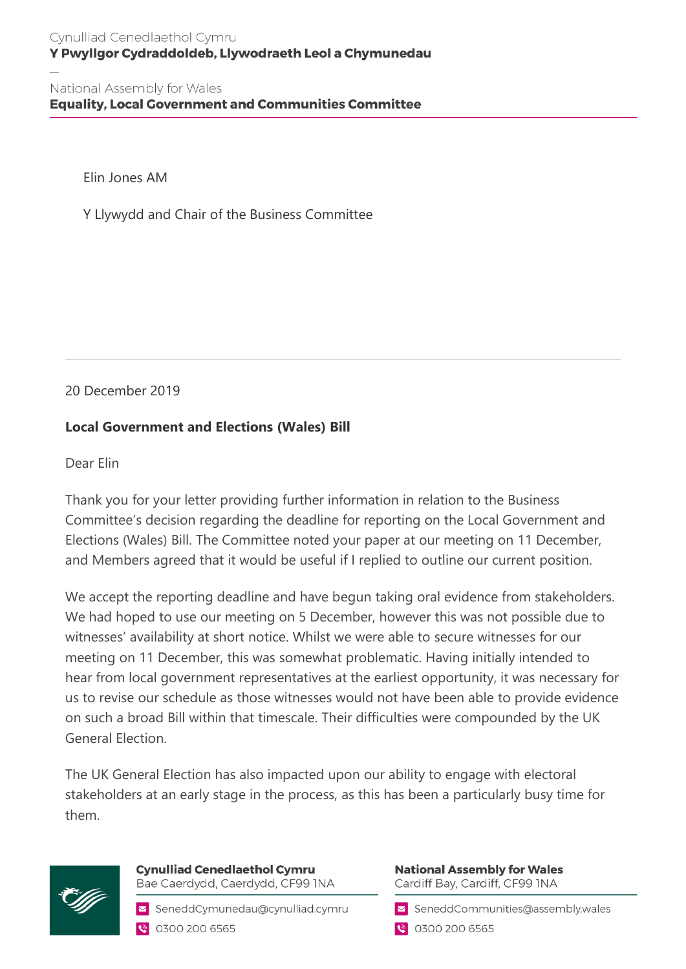National Assembly for Wales **Equality, Local Government and Communities Committee** 

Elin Jones AM

Y Llywydd and Chair of the Business Committee

20 December 2019

## **Local Government and Elections (Wales) Bill**

Dear Elin

Thank you for your letter providing further information in relation to the Business Committee's decision regarding the deadline for reporting on the Local Government and Elections (Wales) Bill. The Committee noted your paper at our meeting on 11 December, and Members agreed that it would be useful if I replied to outline our current position.

We accept the reporting deadline and have begun taking oral evidence from stakeholders. We had hoped to use our meeting on 5 December, however this was not possible due to witnesses' availability at short notice. Whilst we were able to secure witnesses for our meeting on 11 December, this was somewhat problematic. Having initially intended to hear from local government representatives at the earliest opportunity, it was necessary for us to revise our schedule as those witnesses would not have been able to provide evidence on such a broad Bill within that timescale. Their difficulties were compounded by the UK General Election.

The UK General Election has also impacted upon our ability to engage with electoral stakeholders at an early stage in the process, as this has been a particularly busy time for them.



**Cynulliad Cenedlaethol Cymru** Bae Caerdydd, Caerdydd, CF99 INA

SeneddCymunedau@cynulliad.cymru ● 0300 200 6565

**National Assembly for Wales** Cardiff Bay, Cardiff, CF99 INA

SeneddCommunities@assembly.wales

● 0300 200 6565